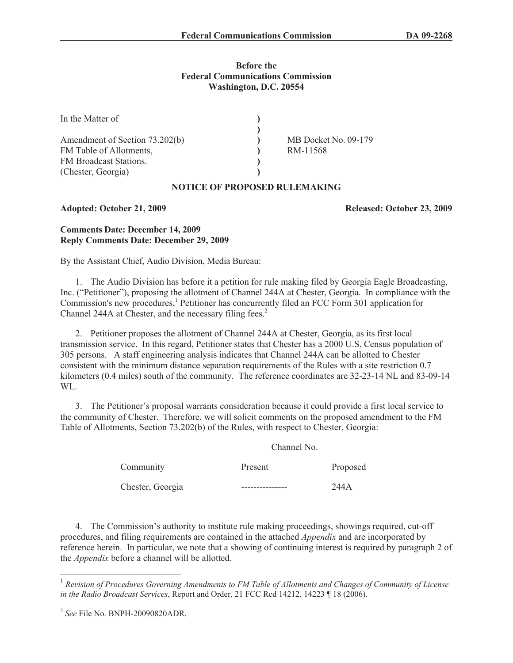#### **Before the Federal Communications Commission Washington, D.C. 20554**

| In the Matter of                                                                                          |                                  |
|-----------------------------------------------------------------------------------------------------------|----------------------------------|
| Amendment of Section 73.202(b)<br>FM Table of Allotments,<br>FM Broadcast Stations.<br>(Chester, Georgia) | MB Docket No. 09-179<br>RM-11568 |

## **NOTICE OF PROPOSED RULEMAKING**

**Adopted: October 21, 2009 Released: October 23, 2009**

### **Comments Date: December 14, 2009 Reply Comments Date: December 29, 2009**

By the Assistant Chief, Audio Division, Media Bureau:

1. The Audio Division has before it a petition for rule making filed by Georgia Eagle Broadcasting, Inc. ("Petitioner"), proposing the allotment of Channel 244A at Chester, Georgia. In compliance with the Commission's new procedures,<sup>1</sup> Petitioner has concurrently filed an FCC Form 301 application for Channel 244A at Chester, and the necessary filing fees.<sup>2</sup>

2. Petitioner proposes the allotment of Channel 244A at Chester, Georgia, as its first local transmission service. In this regard, Petitioner states that Chester has a 2000 U.S. Census population of 305 persons. A staff engineering analysis indicates that Channel 244A can be allotted to Chester consistent with the minimum distance separation requirements of the Rules with a site restriction 0.7 kilometers (0.4 miles) south of the community. The reference coordinates are 32-23-14 NL and 83-09-14 WL.

3. The Petitioner's proposal warrants consideration because it could provide a first local service to the community of Chester. Therefore, we will solicit comments on the proposed amendment to the FM Table of Allotments, Section 73.202(b) of the Rules, with respect to Chester, Georgia:

Channel No.

|                  | Channel NO. |          |
|------------------|-------------|----------|
| Community        | Present     | Proposed |
| Chester, Georgia |             | 244A     |

4. The Commission's authority to institute rule making proceedings, showings required, cut-off procedures, and filing requirements are contained in the attached *Appendix* and are incorporated by reference herein. In particular, we note that a showing of continuing interest is required by paragraph 2 of the *Appendix* before a channel will be allotted.

<sup>1</sup> *Revision of Procedures Governing Amendments to FM Table of Allotments and Changes of Community of License in the Radio Broadcast Services*, Report and Order, 21 FCC Rcd 14212, 14223 ¶ 18 (2006).

<sup>2</sup> *See* File No. BNPH-20090820ADR.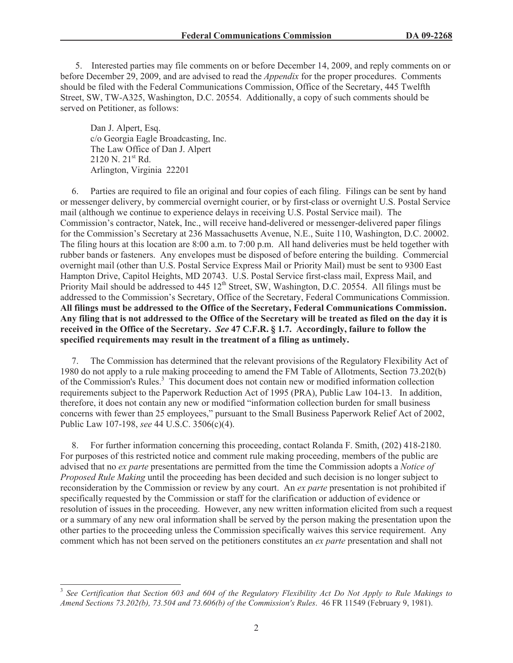5. Interested parties may file comments on or before December 14, 2009, and reply comments on or before December 29, 2009, and are advised to read the *Appendix* for the proper procedures. Comments should be filed with the Federal Communications Commission, Office of the Secretary, 445 Twelfth Street, SW, TW-A325, Washington, D.C. 20554. Additionally, a copy of such comments should be served on Petitioner, as follows:

Dan J. Alpert, Esq. c/o Georgia Eagle Broadcasting, Inc. The Law Office of Dan J. Alpert 2120 N. 21st Rd. Arlington, Virginia 22201

6. Parties are required to file an original and four copies of each filing. Filings can be sent by hand or messenger delivery, by commercial overnight courier, or by first-class or overnight U.S. Postal Service mail (although we continue to experience delays in receiving U.S. Postal Service mail). The Commission's contractor, Natek, Inc., will receive hand-delivered or messenger-delivered paper filings for the Commission's Secretary at 236 Massachusetts Avenue, N.E., Suite 110, Washington, D.C. 20002. The filing hours at this location are 8:00 a.m. to 7:00 p.m. All hand deliveries must be held together with rubber bands or fasteners. Any envelopes must be disposed of before entering the building. Commercial overnight mail (other than U.S. Postal Service Express Mail or Priority Mail) must be sent to 9300 East Hampton Drive, Capitol Heights, MD 20743. U.S. Postal Service first-class mail, Express Mail, and Priority Mail should be addressed to 445 12<sup>th</sup> Street, SW, Washington, D.C. 20554. All filings must be addressed to the Commission's Secretary, Office of the Secretary, Federal Communications Commission. **All filings must be addressed to the Office of the Secretary, Federal Communications Commission. Any filing that is not addressed to the Office of the Secretary will be treated as filed on the day it is received in the Office of the Secretary.** *See* **47 C.F.R. § 1.7. Accordingly, failure to follow the specified requirements may result in the treatment of a filing as untimely.** 

7. The Commission has determined that the relevant provisions of the Regulatory Flexibility Act of 1980 do not apply to a rule making proceeding to amend the FM Table of Allotments, Section 73.202(b) of the Commission's Rules.<sup>3</sup> This document does not contain new or modified information collection requirements subject to the Paperwork Reduction Act of 1995 (PRA), Public Law 104-13. In addition, therefore, it does not contain any new or modified "information collection burden for small business concerns with fewer than 25 employees," pursuant to the Small Business Paperwork Relief Act of 2002, Public Law 107-198, *see* 44 U.S.C. 3506(c)(4).

8. For further information concerning this proceeding, contact Rolanda F. Smith, (202) 418-2180. For purposes of this restricted notice and comment rule making proceeding, members of the public are advised that no *ex parte* presentations are permitted from the time the Commission adopts a *Notice of Proposed Rule Making* until the proceeding has been decided and such decision is no longer subject to reconsideration by the Commission or review by any court. An *ex parte* presentation is not prohibited if specifically requested by the Commission or staff for the clarification or adduction of evidence or resolution of issues in the proceeding. However, any new written information elicited from such a request or a summary of any new oral information shall be served by the person making the presentation upon the other parties to the proceeding unless the Commission specifically waives this service requirement. Any comment which has not been served on the petitioners constitutes an *ex parte* presentation and shall not

<sup>3</sup> *See Certification that Section 603 and 604 of the Regulatory Flexibility Act Do Not Apply to Rule Makings to Amend Sections 73.202(b), 73.504 and 73.606(b) of the Commission's Rules*. 46 FR 11549 (February 9, 1981).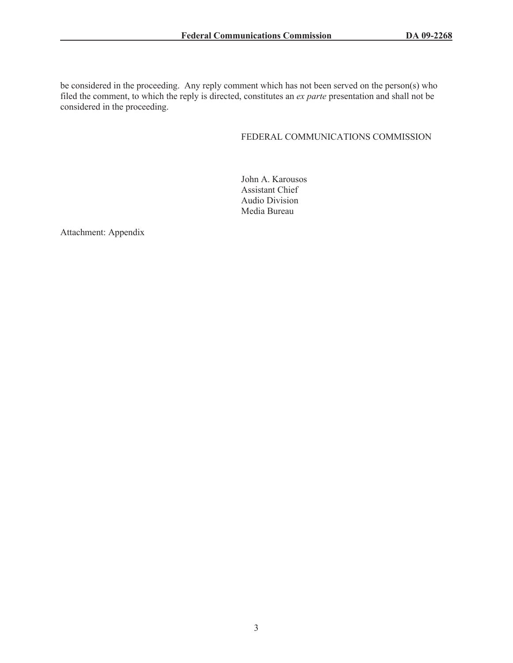be considered in the proceeding. Any reply comment which has not been served on the person(s) who filed the comment, to which the reply is directed, constitutes an *ex parte* presentation and shall not be considered in the proceeding.

# FEDERAL COMMUNICATIONS COMMISSION

John A. Karousos Assistant Chief Audio Division Media Bureau

Attachment: Appendix